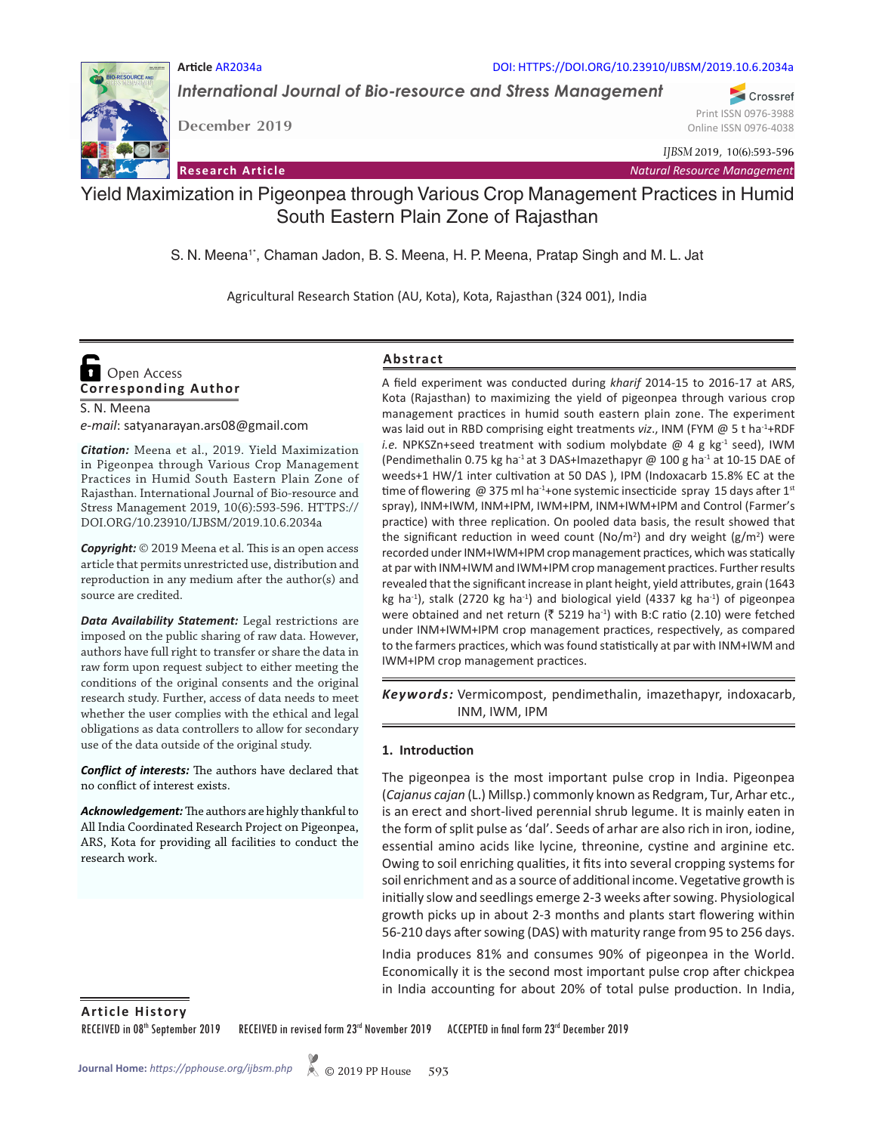#### **Article** AR2034a DOI: HTTPS://DOI.ORG/10.23910/IJBSM/2019.10.6.2034a

*International Journal of Bio-resource and Stress Management*

**December 2019**

*IJBSM* 2019, 10(6):593-596

**Research Article** *Natural Resource Management*

## Yield Maximization in Pigeonpea through Various Crop Management Practices in Humid South Eastern Plain Zone of Rajasthan

S. N. Meena<sup>1\*</sup>, Chaman Jadon, B. S. Meena, H. P. Meena, Pratap Singh and M. L. Jat

Agricultural Research Station (AU, Kota), Kota, Rajasthan (324 001), India

# **Corresponding Author**  Open Access

S. N. Meena *e-mail*: satyanarayan.ars08@gmail.com

*Citation:* Meena et al., 2019. Yield Maximization in Pigeonpea through Various Crop Management Practices in Humid South Eastern Plain Zone of Rajasthan. International Journal of Bio-resource and Stress Management 2019, 10(6):593-596. HTTPS:// DOI.ORG/10.23910/IJBSM/2019.10.6.2034a

*Copyright:* © 2019 Meena et al. This is an open access article that permits unrestricted use, distribution and reproduction in any medium after the author(s) and source are credited.

*Data Availability Statement:* Legal restrictions are imposed on the public sharing of raw data. However, authors have full right to transfer or share the data in raw form upon request subject to either meeting the conditions of the original consents and the original research study. Further, access of data needs to meet whether the user complies with the ethical and legal obligations as data controllers to allow for secondary use of the data outside of the original study.

*Conflict of interests:* The authors have declared that no conflict of interest exists.

*Acknowledgement:* The authors are highly thankful to All India Coordinated Research Project on Pigeonpea, ARS, Kota for providing all facilities to conduct the research work.

#### **Abstract**

A field experiment was conducted during *kharif* 2014-15 to 2016-17 at ARS, Kota (Rajasthan) to maximizing the yield of pigeonpea through various crop management practices in humid south eastern plain zone. The experiment was laid out in RBD comprising eight treatments viz., INM (FYM @ 5 t ha<sup>-1</sup>+RDF *i.e.* NPKSZn+seed treatment with sodium molybdate @ 4 g kg-1 seed), IWM (Pendimethalin 0.75 kg ha<sup>-1</sup> at 3 DAS+Imazethapyr @ 100 g ha<sup>-1</sup> at 10-15 DAE of weeds+1 HW/1 inter cultivation at 50 DAS ), IPM (Indoxacarb 15.8% EC at the time of flowering @ 375 ml ha<sup>-1</sup>+one systemic insecticide spray 15 days after 1<sup>st</sup> spray), INM+IWM, INM+IPM, IWM+IPM, INM+IWM+IPM and Control (Farmer's practice) with three replication. On pooled data basis, the result showed that the significant reduction in weed count (No/m<sup>2</sup>) and dry weight  $(g/m^2)$  were recorded under INM+IWM+IPM crop management practices, which was statically at par with INM+IWM and IWM+IPM crop management practices. Further results revealed that the significant increase in plant height, yield attributes, grain (1643 kg ha<sup>-1</sup>), stalk (2720 kg ha<sup>-1</sup>) and biological yield (4337 kg ha<sup>-1</sup>) of pigeonpea were obtained and net return ( $\bar{\zeta}$  5219 ha<sup>-1</sup>) with B:C ratio (2.10) were fetched under INM+IWM+IPM crop management practices, respectively, as compared to the farmers practices, which was found statistically at par with INM+IWM and IWM+IPM crop management practices.

Keywords: Vermicompost, pendimethalin, imazethapyr, indoxacarb, INM, IWM, IPM

#### **1. Introduction**

The pigeonpea is the most important pulse crop in India. Pigeonpea (*Cajanus cajan* (L.) Millsp.) commonly known as Redgram, Tur, Arhar etc., is an erect and short-lived perennial shrub legume. It is mainly eaten in the form of split pulse as 'dal'. Seeds of arhar are also rich in iron, iodine, essential amino acids like lycine, threonine, cystine and arginine etc. Owing to soil enriching qualities, it fits into several cropping systems for soil enrichment and as a source of additional income. Vegetative growth is initially slow and seedlings emerge 2-3 weeks after sowing. Physiological growth picks up in about 2-3 months and plants start flowering within 56-210 days after sowing (DAS) with maturity range from 95 to 256 days.

India produces 81% and consumes 90% of pigeonpea in the World. Economically it is the second most important pulse crop after chickpea in India accounting for about 20% of total pulse production. In India,

**Article History**

RECEIVED in 08<sup>th</sup> September 2019 RECEIVED in revised form 23<sup>rd</sup> November 2019 ACCEPTED in final form 23<sup>rd</sup> December 2019



Crossref Print ISSN 0976-3988 Online ISSN 0976-4038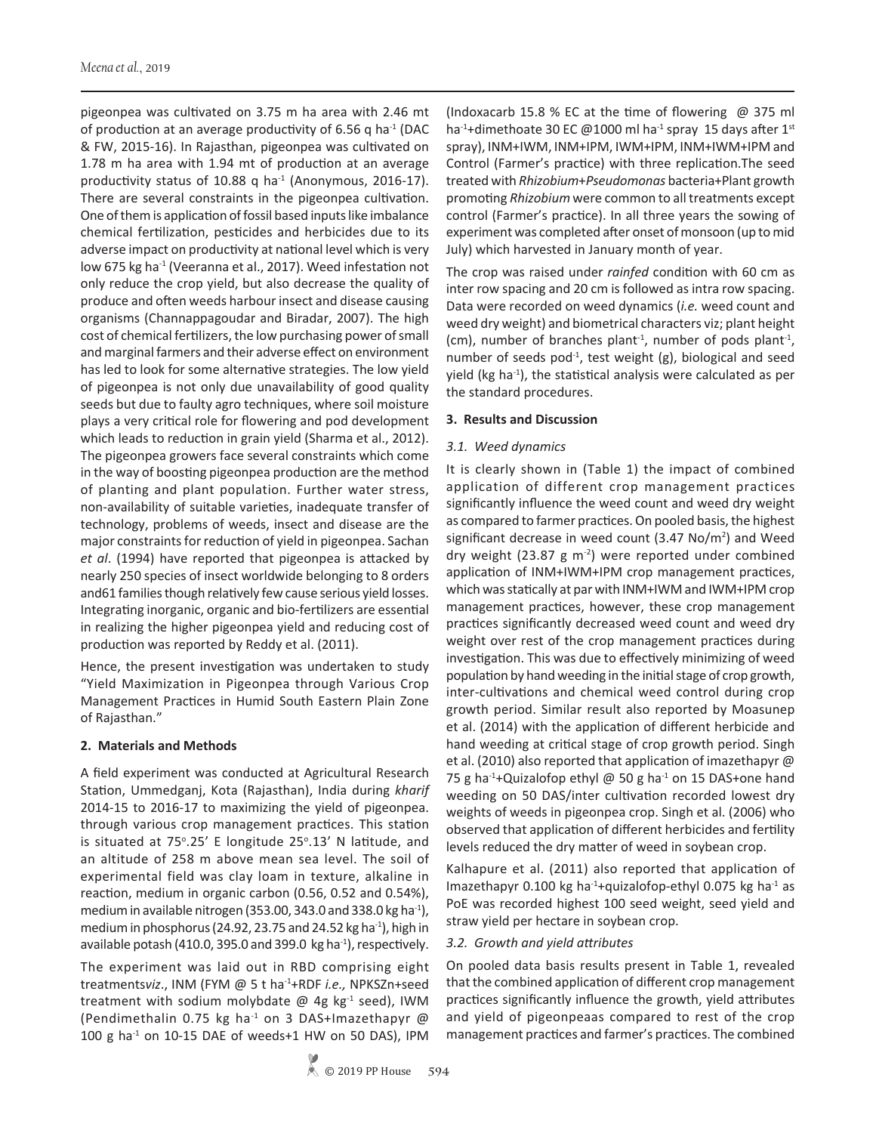pigeonpea was cultivated on 3.75 m ha area with 2.46 mt of production at an average productivity of 6.56 q ha<sup>-1</sup> (DAC & FW, 2015-16). In Rajasthan, pigeonpea was cultivated on 1.78 m ha area with 1.94 mt of production at an average productivity status of 10.88 q ha<sup>-1</sup> (Anonymous, 2016-17). There are several constraints in the pigeonpea cultivation. One of them is application of fossil based inputs like imbalance chemical fertilization, pesticides and herbicides due to its adverse impact on productivity at national level which is very low 675 kg ha<sup>-1</sup> (Veeranna et al., 2017). Weed infestation not only reduce the crop yield, but also decrease the quality of produce and often weeds harbour insect and disease causing organisms (Channappagoudar and Biradar, 2007). The high cost of chemical fertilizers, the low purchasing power of small and marginal farmers and their adverse effect on environment has led to look for some alternative strategies. The low yield of pigeonpea is not only due unavailability of good quality seeds but due to faulty agro techniques, where soil moisture plays a very critical role for flowering and pod development which leads to reduction in grain yield (Sharma et al., 2012). The pigeonpea growers face several constraints which come in the way of boosting pigeonpea production are the method of planting and plant population. Further water stress, non-availability of suitable varieties, inadequate transfer of technology, problems of weeds, insect and disease are the major constraints for reduction of yield in pigeonpea. Sachan *et al*. (1994) have reported that pigeonpea is attacked by nearly 250 species of insect worldwide belonging to 8 orders and61 families though relatively few cause serious yield losses. Integrating inorganic, organic and bio-fertilizers are essential in realizing the higher pigeonpea yield and reducing cost of production was reported by Reddy et al. (2011).

Hence, the present investigation was undertaken to study "Yield Maximization in Pigeonpea through Various Crop Management Practices in Humid South Eastern Plain Zone of Rajasthan."

#### **2. Materials and Methods**

A field experiment was conducted at Agricultural Research Station, Ummedganj, Kota (Rajasthan), India during *kharif*  2014-15 to 2016-17 to maximizing the yield of pigeonpea. through various crop management practices. This station is situated at 75°.25' E longitude 25°.13' N latitude, and an altitude of 258 m above mean sea level. The soil of experimental field was clay loam in texture, alkaline in reaction, medium in organic carbon (0.56, 0.52 and 0.54%), medium in available nitrogen (353.00, 343.0 and 338.0 kg ha $^{-1}$ ), medium in phosphorus (24.92, 23.75 and 24.52 kg ha $^{-1}$ ), high in available potash (410.0, 395.0 and 399.0 kg ha<sup>-1</sup>), respectively.

The experiment was laid out in RBD comprising eight treatments*viz*., INM (FYM @ 5 t ha-1+RDF *i.e.,* NPKSZn+seed treatment with sodium molybdate  $@$  4g kg<sup>-1</sup> seed), IWM (Pendimethalin 0.75 kg ha<sup>-1</sup> on 3 DAS+Imazethapyr @ 100 g ha-1 on 10-15 DAE of weeds+1 HW on 50 DAS), IPM

(Indoxacarb 15.8 % EC at the time of flowering  $\omega$  375 ml ha<sup>-1</sup>+dimethoate 30 EC @1000 ml ha<sup>-1</sup> spray 15 days after 1<sup>st</sup> spray), INM+IWM, INM+IPM, IWM+IPM, INM+IWM+IPM and Control (Farmer's practice) with three replication.The seed treated with *Rhizobium*+*Pseudomonas* bacteria+Plant growth promoting *Rhizobium* were common to all treatments except control (Farmer's practice). In all three years the sowing of experiment was completed after onset of monsoon (up to mid July) which harvested in January month of year.

The crop was raised under *rainfed* condition with 60 cm as inter row spacing and 20 cm is followed as intra row spacing. Data were recorded on weed dynamics (*i.e.* weed count and weed dry weight) and biometrical characters viz; plant height (cm), number of branches plant<sup>-1</sup>, number of pods plant<sup>-1</sup>, number of seeds pod<sup>-1</sup>, test weight  $(g)$ , biological and seed yield (kg ha<sup>-1</sup>), the statistical analysis were calculated as per the standard procedures.

## **3. Results and Discussion**

## *3.1. Weed dynamics*

It is clearly shown in (Table 1) the impact of combined application of different crop management practices significantly influence the weed count and weed dry weight as compared to farmer practices. On pooled basis, the highest significant decrease in weed count  $(3.47 \text{ No/m}^2)$  and Weed dry weight (23.87 g  $m<sup>-2</sup>$ ) were reported under combined application of INM+IWM+IPM crop management practices, which was statically at par with INM+IWM and IWM+IPM crop management practices, however, these crop management practices significantly decreased weed count and weed dry weight over rest of the crop management practices during investigation. This was due to effectively minimizing of weed population by hand weeding in the initial stage of crop growth, inter-cultivations and chemical weed control during crop growth period. Similar result also reported by Moasunep et al. (2014) with the application of different herbicide and hand weeding at critical stage of crop growth period. Singh et al. (2010) also reported that application of imazethapyr @ 75 g ha<sup>-1</sup>+Quizalofop ethyl @ 50 g ha<sup>-1</sup> on 15 DAS+one hand weeding on 50 DAS/inter cultivation recorded lowest dry weights of weeds in pigeonpea crop. Singh et al. (2006) who observed that application of different herbicides and fertility levels reduced the dry matter of weed in soybean crop.

Kalhapure et al. (2011) also reported that application of Imazethapyr 0.100 kg ha<sup>-1</sup>+quizalofop-ethyl 0.075 kg ha<sup>-1</sup> as PoE was recorded highest 100 seed weight, seed yield and straw yield per hectare in soybean crop.

#### *3.2. Growth and yield attributes*

On pooled data basis results present in Table 1, revealed that the combined application of different crop management practices significantly influence the growth, yield attributes and yield of pigeonpeaas compared to rest of the crop management practices and farmer's practices. The combined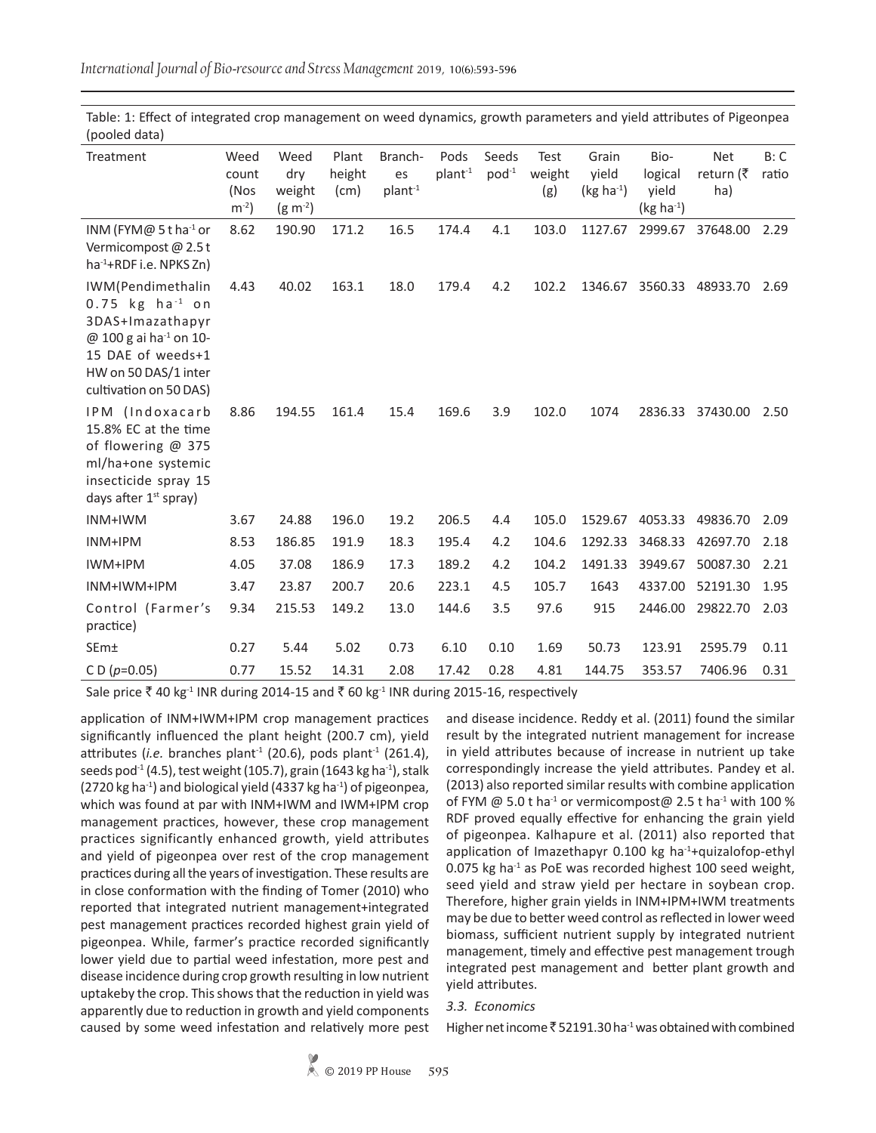*International Journal of Bio-resource and Stress Management* 2019, 10(6):593-596

| Treatment                                                                                                                                                                           | Weed<br>count<br>(Nos<br>$m^{-2}$ | Weed<br>dry<br>weight<br>$(g m^{-2})$ | Plant<br>height<br>(cm) | Branch-<br>es<br>plant <sup>-1</sup> | Pods<br>plant <sup>-1</sup> | Seeds<br>$pod^{-1}$ | Test<br>weight<br>(g) | Grain<br>yield<br>$(kg ha-1)$ | Bio-<br>logical<br>yield<br>$(kg ha-1)$ | <b>Net</b><br>return (₹<br>ha) | B: C<br>ratio |
|-------------------------------------------------------------------------------------------------------------------------------------------------------------------------------------|-----------------------------------|---------------------------------------|-------------------------|--------------------------------------|-----------------------------|---------------------|-----------------------|-------------------------------|-----------------------------------------|--------------------------------|---------------|
| INM (FYM@ 5 t ha <sup>-1</sup> or<br>Vermicompost @ 2.5 t<br>$ha^{-1}$ +RDF i.e. NPKS Zn)                                                                                           | 8.62                              | 190.90                                | 171.2                   | 16.5                                 | 174.4                       | 4.1                 | 103.0                 | 1127.67                       | 2999.67                                 | 37648.00                       | 2.29          |
| IWM(Pendimethalin<br>$0.75$ kg ha <sup>-1</sup> on<br>3DAS+Imazathapyr<br>@ 100 g ai ha <sup>-1</sup> on 10-<br>15 DAE of weeds+1<br>HW on 50 DAS/1 inter<br>cultivation on 50 DAS) | 4.43                              | 40.02                                 | 163.1                   | 18.0                                 | 179.4                       | 4.2                 | 102.2                 | 1346.67                       | 3560.33                                 | 48933.70                       | 2.69          |
| IPM (Indoxacarb<br>15.8% EC at the time<br>of flowering @ 375<br>ml/ha+one systemic<br>insecticide spray 15<br>days after 1 <sup>st</sup> spray)                                    | 8.86                              | 194.55                                | 161.4                   | 15.4                                 | 169.6                       | 3.9                 | 102.0                 | 1074                          | 2836.33                                 | 37430.00                       | 2.50          |
| INM+IWM                                                                                                                                                                             | 3.67                              | 24.88                                 | 196.0                   | 19.2                                 | 206.5                       | 4.4                 | 105.0                 | 1529.67                       | 4053.33                                 | 49836.70                       | 2.09          |
| INM+IPM                                                                                                                                                                             | 8.53                              | 186.85                                | 191.9                   | 18.3                                 | 195.4                       | 4.2                 | 104.6                 | 1292.33                       | 3468.33                                 | 42697.70                       | 2.18          |
| IWM+IPM                                                                                                                                                                             | 4.05                              | 37.08                                 | 186.9                   | 17.3                                 | 189.2                       | 4.2                 | 104.2                 | 1491.33                       | 3949.67                                 | 50087.30                       | 2.21          |
| INM+IWM+IPM                                                                                                                                                                         | 3.47                              | 23.87                                 | 200.7                   | 20.6                                 | 223.1                       | 4.5                 | 105.7                 | 1643                          | 4337.00                                 | 52191.30                       | 1.95          |
| Control (Farmer's<br>practice)                                                                                                                                                      | 9.34                              | 215.53                                | 149.2                   | 13.0                                 | 144.6                       | 3.5                 | 97.6                  | 915                           | 2446.00                                 | 29822.70                       | 2.03          |
| SEm±                                                                                                                                                                                | 0.27                              | 5.44                                  | 5.02                    | 0.73                                 | 6.10                        | 0.10                | 1.69                  | 50.73                         | 123.91                                  | 2595.79                        | 0.11          |
| C D ( $p=0.05$ )                                                                                                                                                                    | 0.77                              | 15.52                                 | 14.31                   | 2.08                                 | 17.42                       | 0.28                | 4.81                  | 144.75                        | 353.57                                  | 7406.96                        | 0.31          |

Table: 1: Effect of integrated crop management on weed dynamics, growth parameters and yield attributes of Pigeonpea (pooled data)

Sale price ₹ 40 kg<sup>-1</sup> INR during 2014-15 and ₹ 60 kg<sup>-1</sup> INR during 2015-16, respectively

application of INM+IWM+IPM crop management practices significantly influenced the plant height (200.7 cm), yield attributes (*i.e.* branches plant<sup>-1</sup> (20.6), pods plant<sup>-1</sup> (261.4), seeds pod $-1$  (4.5), test weight (105.7), grain (1643 kg ha $-1$ ), stalk  $(2720 \text{ kg} \text{ ha}^{-1})$  and biological yield  $(4337 \text{ kg} \text{ ha}^{-1})$  of pigeonpea, which was found at par with INM+IWM and IWM+IPM crop management practices, however, these crop management practices significantly enhanced growth, yield attributes and yield of pigeonpea over rest of the crop management practices during all the years of investigation. These results are in close conformation with the finding of Tomer (2010) who reported that integrated nutrient management+integrated pest management practices recorded highest grain yield of pigeonpea. While, farmer's practice recorded significantly lower yield due to partial weed infestation, more pest and disease incidence during crop growth resulting in low nutrient uptakeby the crop. This shows that the reduction in yield was apparently due to reduction in growth and yield components caused by some weed infestation and relatively more pest and disease incidence. Reddy et al. (2011) found the similar result by the integrated nutrient management for increase in yield attributes because of increase in nutrient up take correspondingly increase the yield attributes. Pandey et al. (2013) also reported similar results with combine application of FYM  $@$  5.0 t ha<sup>-1</sup> or vermicompost  $@$  2.5 t ha<sup>-1</sup> with 100 % RDF proved equally effective for enhancing the grain yield of pigeonpea. Kalhapure et al. (2011) also reported that application of Imazethapyr  $0.100$  kg ha<sup>-1</sup>+quizalofop-ethyl 0.075 kg ha $^{-1}$  as PoE was recorded highest 100 seed weight, seed yield and straw yield per hectare in soybean crop. Therefore, higher grain yields in INM+IPM+IWM treatments may be due to better weed control as reflected in lower weed biomass, sufficient nutrient supply by integrated nutrient management, timely and effective pest management trough integrated pest management and better plant growth and yield attributes.

#### *3.3. Economics*

Higher net income  $\bar{\bar{\tau}}$  52191.30 ha<sup>-1</sup> was obtained with combined